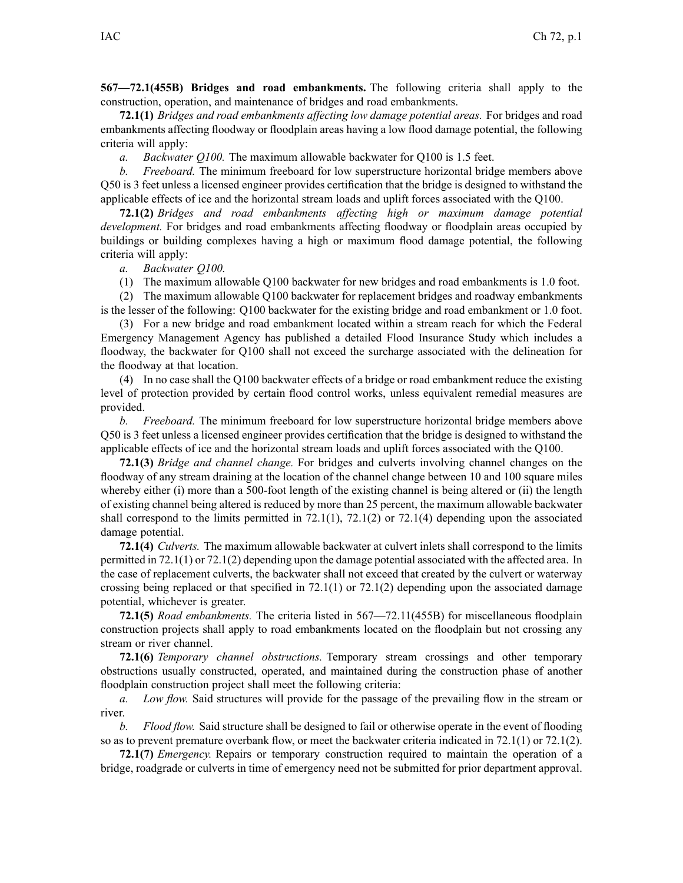**567—72.1(455B) Bridges and road embankments.** The following criteria shall apply to the construction, operation, and maintenance of bridges and road embankments.

**72.1(1)** *Bridges and road embankments affecting low damage potential areas.* For bridges and road embankments affecting floodway or floodplain areas having <sup>a</sup> low flood damage potential, the following criteria will apply:

*a. Backwater Q100.* The maximum allowable backwater for Q100 is 1.5 feet.

*b. Freeboard.* The minimum freeboard for low superstructure horizontal bridge members above Q50 is 3 feet unless <sup>a</sup> licensed engineer provides certification that the bridge is designed to withstand the applicable effects of ice and the horizontal stream loads and uplift forces associated with the Q100.

**72.1(2)** *Bridges and road embankments affecting high or maximum damage potential development.* For bridges and road embankments affecting floodway or floodplain areas occupied by buildings or building complexes having <sup>a</sup> high or maximum flood damage potential, the following criteria will apply:

*a. Backwater Q100.*

(1) The maximum allowable Q100 backwater for new bridges and road embankments is 1.0 foot.

(2) The maximum allowable Q100 backwater for replacement bridges and roadway embankments is the lesser of the following: Q100 backwater for the existing bridge and road embankment or 1.0 foot.

(3) For <sup>a</sup> new bridge and road embankment located within <sup>a</sup> stream reach for which the Federal Emergency Management Agency has published <sup>a</sup> detailed Flood Insurance Study which includes <sup>a</sup> floodway, the backwater for Q100 shall not exceed the surcharge associated with the delineation for the floodway at that location.

(4) In no case shall the Q100 backwater effects of <sup>a</sup> bridge or road embankment reduce the existing level of protection provided by certain flood control works, unless equivalent remedial measures are provided.

*b. Freeboard.* The minimum freeboard for low superstructure horizontal bridge members above Q50 is 3 feet unless <sup>a</sup> licensed engineer provides certification that the bridge is designed to withstand the applicable effects of ice and the horizontal stream loads and uplift forces associated with the Q100.

**72.1(3)** *Bridge and channel change.* For bridges and culverts involving channel changes on the floodway of any stream draining at the location of the channel change between 10 and 100 square miles whereby either (i) more than a 500-foot length of the existing channel is being altered or (ii) the length of existing channel being altered is reduced by more than 25 percent, the maximum allowable backwater shall correspond to the limits permitted in  $72.1(1)$ ,  $72.1(2)$  or  $72.1(4)$  depending upon the associated damage potential.

**72.1(4)** *Culverts.* The maximum allowable backwater at culvert inlets shall correspond to the limits permitted in [72.1\(1\)](https://www.legis.iowa.gov/docs/iac/rule/567.72.1.pdf) or [72.1\(2\)](https://www.legis.iowa.gov/docs/iac/rule/567.72.1.pdf) depending upon the damage potential associated with the affected area. In the case of replacement culverts, the backwater shall not exceed that created by the culvert or waterway crossing being replaced or that specified in  $72.1(1)$  or  $72.1(2)$  depending upon the associated damage potential, whichever is greater.

**72.1(5)** *Road embankments.* The criteria listed in [567—72.11](https://www.legis.iowa.gov/docs/iac/rule/567.72.11.pdf)(455B) for miscellaneous floodplain construction projects shall apply to road embankments located on the floodplain but not crossing any stream or river channel.

**72.1(6)** *Temporary channel obstructions.* Temporary stream crossings and other temporary obstructions usually constructed, operated, and maintained during the construction phase of another floodplain construction project shall meet the following criteria:

*a. Low flow.* Said structures will provide for the passage of the prevailing flow in the stream or river.

*b. Flood flow.* Said structure shall be designed to fail or otherwise operate in the event of flooding so as to preven<sup>t</sup> premature overbank flow, or meet the backwater criteria indicated in [72.1\(1\)](https://www.legis.iowa.gov/docs/iac/rule/567.72.1.pdf) or [72.1\(2\)](https://www.legis.iowa.gov/docs/iac/rule/567.72.1.pdf).

**72.1(7)** *Emergency.* Repairs or temporary construction required to maintain the operation of <sup>a</sup> bridge, roadgrade or culverts in time of emergency need not be submitted for prior department approval.